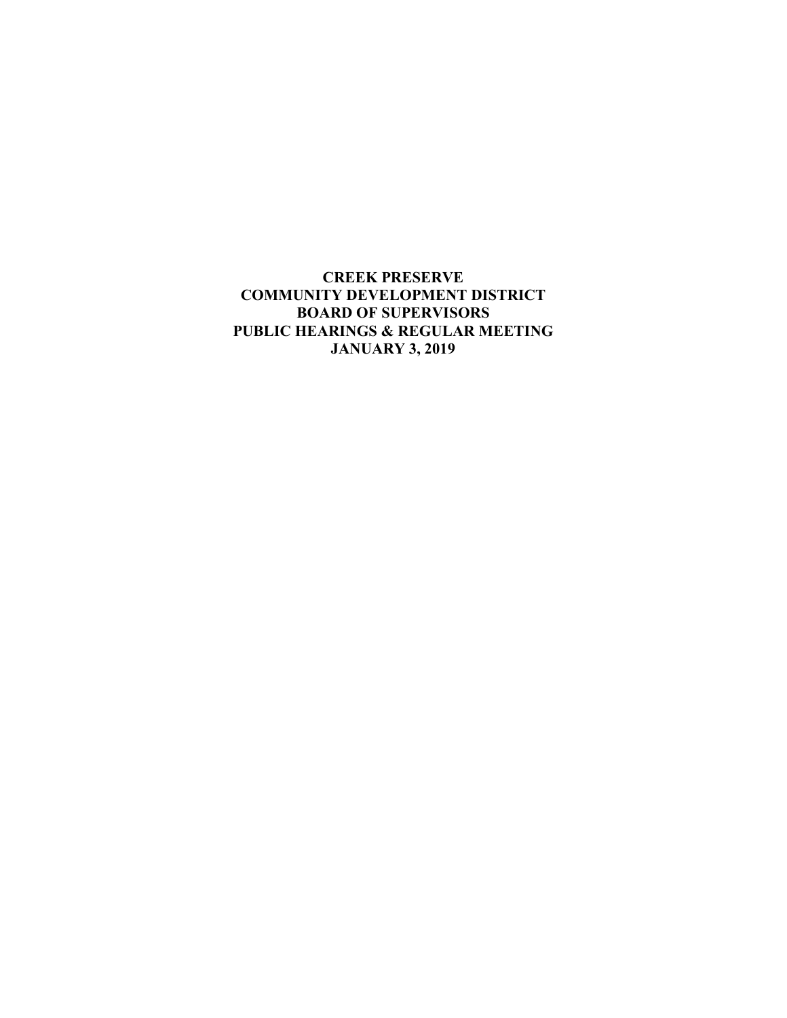**CREEK PRESERVE COMMUNITY DEVELOPMENT DISTRICT BOARD OF SUPERVISORS PUBLIC HEARINGS & REGULAR MEETING JANUARY 3, 2019**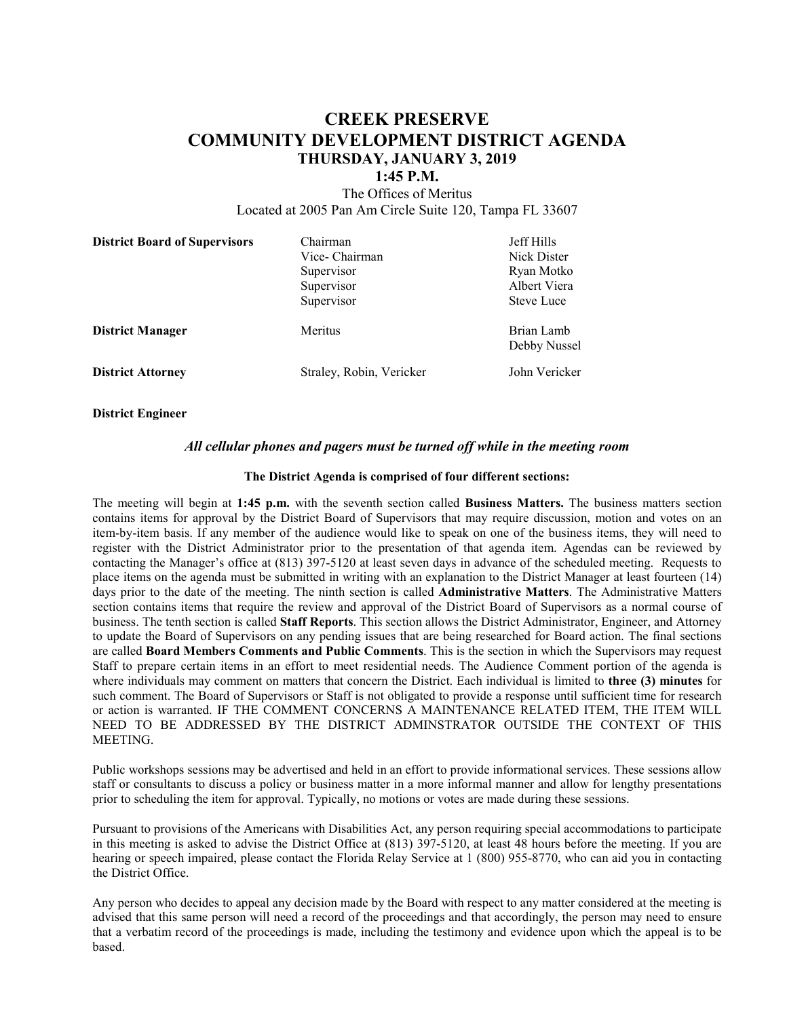# **CREEK PRESERVE COMMUNITY DEVELOPMENT DISTRICT AGENDA THURSDAY, JANUARY 3, 2019**

### **1:45 P.M.**

The Offices of Meritus Located at 2005 Pan Am Circle Suite 120, Tampa FL 33607

| <b>District Board of Supervisors</b> | Chairman<br>Vice- Chairman<br>Supervisor<br>Supervisor<br>Supervisor | Jeff Hills<br>Nick Dister<br>Ryan Motko<br>Albert Viera<br><b>Steve Luce</b> |
|--------------------------------------|----------------------------------------------------------------------|------------------------------------------------------------------------------|
| <b>District Manager</b>              | Meritus                                                              | Brian Lamb<br>Debby Nussel                                                   |
| <b>District Attorney</b>             | Straley, Robin, Vericker                                             | John Vericker                                                                |

**District Engineer**

#### *All cellular phones and pagers must be turned off while in the meeting room*

#### **The District Agenda is comprised of four different sections:**

The meeting will begin at **1:45 p.m.** with the seventh section called **Business Matters.** The business matters section contains items for approval by the District Board of Supervisors that may require discussion, motion and votes on an item-by-item basis. If any member of the audience would like to speak on one of the business items, they will need to register with the District Administrator prior to the presentation of that agenda item. Agendas can be reviewed by contacting the Manager's office at (813) 397-5120 at least seven days in advance of the scheduled meeting. Requests to place items on the agenda must be submitted in writing with an explanation to the District Manager at least fourteen (14) days prior to the date of the meeting. The ninth section is called **Administrative Matters**. The Administrative Matters section contains items that require the review and approval of the District Board of Supervisors as a normal course of business. The tenth section is called **Staff Reports**. This section allows the District Administrator, Engineer, and Attorney to update the Board of Supervisors on any pending issues that are being researched for Board action. The final sections are called **Board Members Comments and Public Comments**. This is the section in which the Supervisors may request Staff to prepare certain items in an effort to meet residential needs. The Audience Comment portion of the agenda is where individuals may comment on matters that concern the District. Each individual is limited to **three (3) minutes** for such comment. The Board of Supervisors or Staff is not obligated to provide a response until sufficient time for research or action is warranted. IF THE COMMENT CONCERNS A MAINTENANCE RELATED ITEM, THE ITEM WILL NEED TO BE ADDRESSED BY THE DISTRICT ADMINSTRATOR OUTSIDE THE CONTEXT OF THIS MEETING.

Public workshops sessions may be advertised and held in an effort to provide informational services. These sessions allow staff or consultants to discuss a policy or business matter in a more informal manner and allow for lengthy presentations prior to scheduling the item for approval. Typically, no motions or votes are made during these sessions.

Pursuant to provisions of the Americans with Disabilities Act, any person requiring special accommodations to participate in this meeting is asked to advise the District Office at (813) 397-5120, at least 48 hours before the meeting. If you are hearing or speech impaired, please contact the Florida Relay Service at 1 (800) 955-8770, who can aid you in contacting the District Office.

Any person who decides to appeal any decision made by the Board with respect to any matter considered at the meeting is advised that this same person will need a record of the proceedings and that accordingly, the person may need to ensure that a verbatim record of the proceedings is made, including the testimony and evidence upon which the appeal is to be based.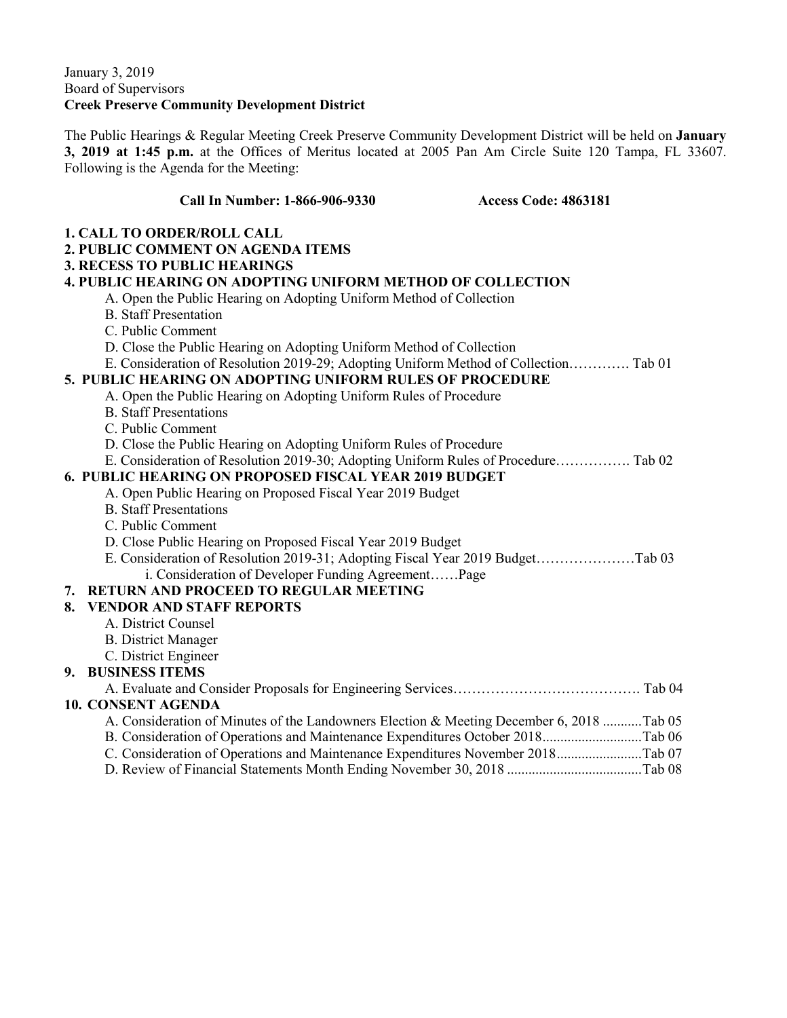### January 3, 2019 Board of Supervisors **Creek Preserve Community Development District**

The Public Hearings & Regular Meeting Creek Preserve Community Development District will be held on **January 3, 2019 at 1:45 p.m.** at the Offices of Meritus located at 2005 Pan Am Circle Suite 120 Tampa, FL 33607. Following is the Agenda for the Meeting:

## **Call In Number: 1-866-906-9330 Access Code: 4863181**

| <b>1. CALL TO ORDER/ROLL CALL</b>                                                        |  |
|------------------------------------------------------------------------------------------|--|
| 2. PUBLIC COMMENT ON AGENDA ITEMS                                                        |  |
| <b>3. RECESS TO PUBLIC HEARINGS</b>                                                      |  |
| <b>4. PUBLIC HEARING ON ADOPTING UNIFORM METHOD OF COLLECTION</b>                        |  |
| A. Open the Public Hearing on Adopting Uniform Method of Collection                      |  |
| <b>B.</b> Staff Presentation                                                             |  |
| C. Public Comment                                                                        |  |
| D. Close the Public Hearing on Adopting Uniform Method of Collection                     |  |
| E. Consideration of Resolution 2019-29; Adopting Uniform Method of Collection Tab 01     |  |
| 5. PUBLIC HEARING ON ADOPTING UNIFORM RULES OF PROCEDURE                                 |  |
| A. Open the Public Hearing on Adopting Uniform Rules of Procedure                        |  |
| <b>B.</b> Staff Presentations                                                            |  |
| C. Public Comment                                                                        |  |
| D. Close the Public Hearing on Adopting Uniform Rules of Procedure                       |  |
| E. Consideration of Resolution 2019-30; Adopting Uniform Rules of Procedure Tab 02       |  |
| <b>6. PUBLIC HEARING ON PROPOSED FISCAL YEAR 2019 BUDGET</b>                             |  |
| A. Open Public Hearing on Proposed Fiscal Year 2019 Budget                               |  |
| <b>B.</b> Staff Presentations                                                            |  |
| C. Public Comment                                                                        |  |
| D. Close Public Hearing on Proposed Fiscal Year 2019 Budget                              |  |
| E. Consideration of Resolution 2019-31; Adopting Fiscal Year 2019 BudgetTab 03           |  |
| i. Consideration of Developer Funding AgreementPage                                      |  |
| 7. RETURN AND PROCEED TO REGULAR MEETING                                                 |  |
| 8.<br><b>VENDOR AND STAFF REPORTS</b>                                                    |  |
| A. District Counsel                                                                      |  |
| <b>B.</b> District Manager                                                               |  |
| C. District Engineer                                                                     |  |
| 9. BUSINESS ITEMS                                                                        |  |
|                                                                                          |  |
| <b>10. CONSENT AGENDA</b>                                                                |  |
| A. Consideration of Minutes of the Landowners Election & Meeting December 6, 2018 Tab 05 |  |
| B. Consideration of Operations and Maintenance Expenditures October 2018Tab 06           |  |
| C. Consideration of Operations and Maintenance Expenditures November 2018Tab 07          |  |
|                                                                                          |  |